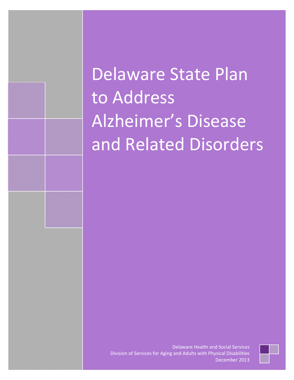# Delaware State Plan to Address Alzheimer's Disease and Related Disorders

Delaware Health and Social Services Division of Services for Aging and Adults with Physical Disabilities December 2013

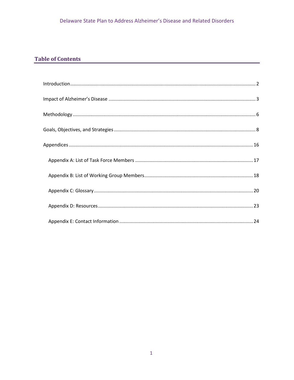# **Table of Contents**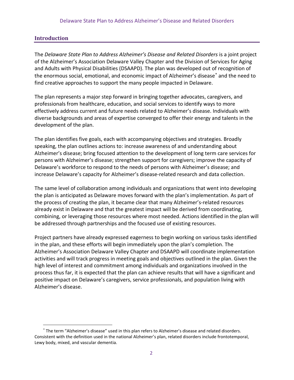# **Introduction**

 $\overline{\phantom{0}}$ 

<span id="page-2-0"></span>The *Delaware State Plan to Address Alzheimer's Disease and Related Disorders* is a joint project of the Alzheimer's Association Delaware Valley Chapter and the Division of Services for Aging and Adults with Physical Disabilities (DSAAPD). The plan was developed out of recognition of the enormous social, emotional, and economic impact of Alzheimer's disease<sup>\*</sup> and the need to find creative approaches to support the many people impacted in Delaware.

The plan represents a major step forward in bringing together advocates, caregivers, and professionals from healthcare, education, and social services to identify ways to more effectively address current and future needs related to Alzheimer's disease. Individuals with diverse backgrounds and areas of expertise converged to offer their energy and talents in the development of the plan.

The plan identifies five goals, each with accompanying objectives and strategies. Broadly speaking, the plan outlines actions to: increase awareness of and understanding about Alzheimer's disease; bring focused attention to the development of long term care services for persons with Alzheimer's disease; strengthen support for caregivers; improve the capacity of Delaware's workforce to respond to the needs of persons with Alzheimer's disease; and increase Delaware's capacity for Alzheimer's disease-related research and data collection.

The same level of collaboration among individuals and organizations that went into developing the plan is anticipated as Delaware moves forward with the plan's implementation. As part of the process of creating the plan, it became clear that many Alzheimer's-related resources already exist in Delaware and that the greatest impact will be derived from coordinating, combining, or leveraging those resources where most needed. Actions identified in the plan will be addressed through partnerships and the focused use of existing resources.

Project partners have already expressed eagerness to begin working on various tasks identified in the plan, and these efforts will begin immediately upon the plan's completion. The Alzheimer's Association Delaware Valley Chapter and DSAAPD will coordinate implementation activities and will track progress in meeting goals and objectives outlined in the plan. Given the high level of interest and commitment among individuals and organizations involved in the process thus far, it is expected that the plan can achieve results that will have a significant and positive impact on Delaware's caregivers, service professionals, and population living with Alzheimer's disease.

<span id="page-2-1"></span><sup>∗</sup> The term "Alzheimer's disease" used in this plan refers to Alzheimer's disease and related disorders. Consistent with the definition used in the national Alzheimer's plan, related disorders include frontotemporal, Lewy body, mixed, and vascular dementia.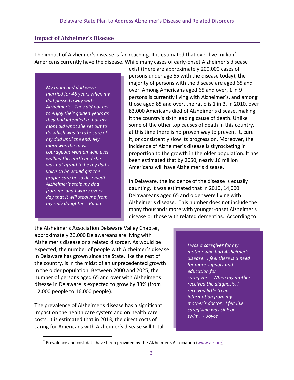# **Impact of Alzheimer's Disease**

<span id="page-3-0"></span>The impact of Alzheimer's disease is far-reaching. It is estimated that over five million<sup>\*</sup> Americans currently have the disease. While many cases of early-onset Alzheimer's disease

*My mom and dad were married for 46 years when my dad passed away with Alzheimer's. They did not get to enjoy their golden years as they had intended to but my mom did what she set out to do which was to take care of my dad until the end. My mom was the most courageous woman who ever walked this earth and she was not afraid to be my dad's voice so he would get the proper care he so deserved! Alzheimer's stole my dad from me and I worry every day that it will steal me from my only daughter. - Paula*

exist (there are approximately 200,000 cases of persons under age 65 with the disease today), the majority of persons with the disease are aged 65 and over. Among Americans aged 65 and over, 1 in 9 persons is currently living with Alzheimer's, and among those aged 85 and over, the ratio is 1 in 3. In 2010, over 83,000 Americans died of Alzheimer's disease, making it the country's sixth leading cause of death. Unlike some of the other top causes of death in this country, at this time there is no proven way to prevent it, cure it, or consistently slow its progression. Moreover, the incidence of Alzheimer's disease is skyrocketing in proportion to the growth in the older population. It has been estimated that by 2050, nearly 16 million Americans will have Alzheimer's disease.

In Delaware, the incidence of the disease is equally daunting. It was estimated that in 2010, 14,000 Delawareans aged 65 and older were living with Alzheimer's disease. This number does not include the many thousands more with younger-onset Alzheimer's disease or those with related dementias. According to

the Alzheimer's Association Delaware Valley Chapter, approximately 26,000 Delawareans are living with Alzheimer's disease or a related disorder. As would be expected, the number of people with Alzheimer's disease in Delaware has grown since the State, like the rest of the country, is in the midst of an unprecedented growth in the older population. Between 2000 and 2025, the number of persons aged 65 and over with Alzheimer's disease in Delaware is expected to grow by 33% (from 12,000 people to 16,000 people).

The prevalence of Alzheimer's disease has a significant impact on the health care system and on health care costs. It is estimated that in 2013, the direct costs of caring for Americans with Alzheimer's disease will total

 $\overline{\phantom{0}}$ 

*I was a caregiver for my mother who had Alzheimer's disease. I feel there is a need for more support and education for caregivers. When my mother received the diagnosis, I received little to no information from my mother's doctor. I felt like caregiving was sink or swim. - Joyce*

<span id="page-3-1"></span><sup>∗</sup> Prevalence and cost data have been provided by the Alzheimer's Association [\(www.alz.org\)](http://www.alz.org/).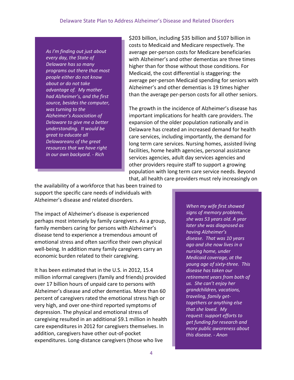*As I'm finding out just about every day, the State of Delaware has so many programs out there that most people either do not know about or do not take advantage of. My mother had Alzheimer's, and the first source, besides the computer, was turning to the Alzheimer's Association of Delaware to give me a better understanding. It would be great to educate all Delawareans of the great resources that we have right in our own backyard. - Rich*

\$203 billion, including \$35 billion and \$107 billion in costs to Medicaid and Medicare respectively. The average per-person costs for Medicare beneficiaries with Alzheimer's and other dementias are three times higher than for those without those conditions. For Medicaid, the cost differential is staggering: the average per-person Medicaid spending for seniors with Alzheimer's and other dementias is 19 times higher than the average per-person costs for all other seniors.

The growth in the incidence of Alzheimer's disease has important implications for health care providers. The expansion of the older population nationally and in Delaware has created an increased demand for health care services, including importantly, the demand for long term care services. Nursing homes, assisted living facilities, home health agencies, personal assistance services agencies, adult day services agencies and other providers require staff to support a growing population with long term care service needs. Beyond that, all health care providers must rely increasingly on

the availability of a workforce that has been trained to support the specific care needs of individuals with Alzheimer's disease and related disorders.

The impact of Alzheimer's disease is experienced perhaps most intensely by family caregivers. As a group, family members caring for persons with Alzheimer's disease tend to experience a tremendous amount of emotional stress and often sacrifice their own physical well-being. In addition many family caregivers carry an economic burden related to their caregiving.

It has been estimated that in the U.S. in 2012, 15.4 million informal caregivers (family and friends) provided over 17 billion hours of unpaid care to persons with Alzheimer's disease and other dementias. More than 60 percent of caregivers rated the emotional stress high or very high, and over one-third reported symptoms of depression. The physical and emotional stress of caregiving resulted in an additional \$9.1 million in health care expenditures in 2012 for caregivers themselves. In addition, caregivers have other out-of-pocket expenditures. Long-distance caregivers (those who live

*When my wife first showed signs of memory problems, she was 53 years old. A year later she was diagnosed as having Alzheimer's disease. That was 10 years ago and she now lives in a nursing home, under Medicaid coverage, at the young age of sixty-three. This disease has taken our retirement years from both of us. She can't enjoy her grandchildren, vacations, traveling, family gettogethers or anything else that she loved. My request: support efforts to get funding for research and more public awareness about this disease. - Anon*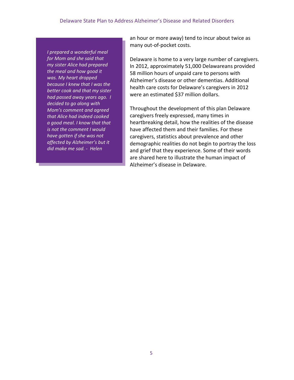*I prepared a wonderful meal for Mom and she said that my sister Alice had prepared the meal and how good it was. My heart dropped because I knew that I was the better cook and that my sister had passed away years ago. I decided to go along with Mom's comment and agreed that Alice had indeed cooked a good meal. I know that that is not the comment I would have gotten if she was not affected by Alzheimer's but it did make me sad. - Helen*

an hour or more away) tend to incur about twice as many out-of-pocket costs.

Delaware is home to a very large number of caregivers. In 2012, approximately 51,000 Delawareans provided 58 million hours of unpaid care to persons with Alzheimer's disease or other dementias. Additional health care costs for Delaware's caregivers in 2012 were an estimated \$37 million dollars.

Throughout the development of this plan Delaware caregivers freely expressed, many times in heartbreaking detail, how the realities of the disease have affected them and their families. For these caregivers, statistics about prevalence and other demographic realities do not begin to portray the loss and grief that they experience. Some of their words are shared here to illustrate the human impact of Alzheimer's disease in Delaware.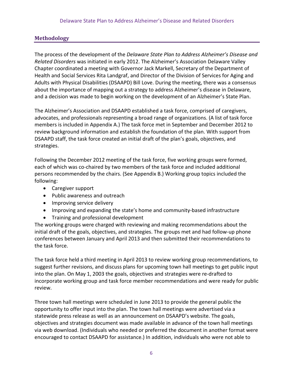# **Methodology**

<span id="page-6-0"></span>The process of the development of the *Delaware State Plan to Address Alzheimer's Disease and Related Disorders* was initiated in early 2012. The Alzheimer's Association Delaware Valley Chapter coordinated a meeting with Governor Jack Markell, Secretary of the Department of Health and Social Services Rita Landgraf, and Director of the Division of Services for Aging and Adults with Physical Disabilities (DSAAPD) Bill Love. During the meeting, there was a consensus about the importance of mapping out a strategy to address Alzheimer's disease in Delaware, and a decision was made to begin working on the development of an Alzheimer's State Plan.

The Alzheimer's Association and DSAAPD established a task force, comprised of caregivers, advocates, and professionals representing a broad range of organizations. (A list of task force members is included in Appendix A.) The task force met in September and December 2012 to review background information and establish the foundation of the plan. With support from DSAAPD staff, the task force created an initial draft of the plan's goals, objectives, and strategies.

Following the December 2012 meeting of the task force, five working groups were formed, each of which was co-chaired by two members of the task force and included additional persons recommended by the chairs. (See Appendix B.) Working group topics included the following:

- Caregiver support
- Public awareness and outreach
- Improving service delivery
- Improving and expanding the state's home and community-based infrastructure
- Training and professional development

The working groups were charged with reviewing and making recommendations about the initial draft of the goals, objectives, and strategies. The groups met and had follow-up phone conferences between January and April 2013 and then submitted their recommendations to the task force.

The task force held a third meeting in April 2013 to review working group recommendations, to suggest further revisions, and discuss plans for upcoming town hall meetings to get public input into the plan. On May 1, 2003 the goals, objectives and strategies were re-drafted to incorporate working group and task force member recommendations and were ready for public review.

Three town hall meetings were scheduled in June 2013 to provide the general public the opportunity to offer input into the plan. The town hall meetings were advertised via a statewide press release as well as an announcement on DSAAPD's website. The goals, objectives and strategies document was made available in advance of the town hall meetings via web download. (Individuals who needed or preferred the document in another format were encouraged to contact DSAAPD for assistance.) In addition, individuals who were not able to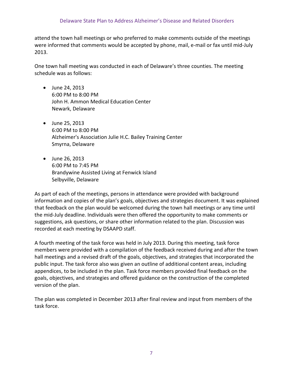attend the town hall meetings or who preferred to make comments outside of the meetings were informed that comments would be accepted by phone, mail, e-mail or fax until mid-July 2013.

One town hall meeting was conducted in each of Delaware's three counties. The meeting schedule was as follows:

- June 24, 2013 6:00 PM to 8:00 PM John H. Ammon Medical Education Center Newark, Delaware
- June 25, 2013 6:00 PM to 8:00 PM Alzheimer's Association Julie H.C. Bailey Training Center Smyrna, Delaware
- June 26, 2013 6:00 PM to 7:45 PM Brandywine Assisted Living at Fenwick Island Selbyville, Delaware

As part of each of the meetings, persons in attendance were provided with background information and copies of the plan's goals, objectives and strategies document. It was explained that feedback on the plan would be welcomed during the town hall meetings or any time until the mid-July deadline. Individuals were then offered the opportunity to make comments or suggestions, ask questions, or share other information related to the plan. Discussion was recorded at each meeting by DSAAPD staff.

A fourth meeting of the task force was held in July 2013. During this meeting, task force members were provided with a compilation of the feedback received during and after the town hall meetings and a revised draft of the goals, objectives, and strategies that incorporated the public input. The task force also was given an outline of additional content areas, including appendices, to be included in the plan. Task force members provided final feedback on the goals, objectives, and strategies and offered guidance on the construction of the completed version of the plan.

The plan was completed in December 2013 after final review and input from members of the task force.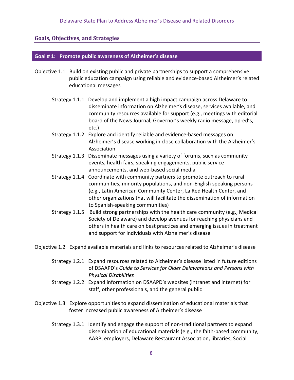# **Goals, Objectives, and Strategies**

#### <span id="page-8-0"></span>**Goal # 1: Promote public awareness of Alzheimer's disease**

- Objective 1.1 Build on existing public and private partnerships to support a comprehensive public education campaign using reliable and evidence-based Alzheimer's related educational messages
	- Strategy 1.1.1 Develop and implement a high impact campaign across Delaware to disseminate information on Alzheimer's disease, services available, and community resources available for support (e.g., meetings with editorial board of the News Journal, Governor's weekly radio message, op-ed's, etc.)
	- Strategy 1.1.2 Explore and identify reliable and evidence-based messages on Alzheimer's disease working in close collaboration with the Alzheimer's Association
	- Strategy 1.1.3 Disseminate messages using a variety of forums, such as community events, health fairs, speaking engagements, public service announcements, and web-based social media
	- Strategy 1.1.4 Coordinate with community partners to promote outreach to rural communities, minority populations, and non-English speaking persons (e.g., Latin American Community Center, La Red Health Center, and other organizations that will facilitate the dissemination of information to Spanish-speaking communities)
	- Strategy 1.1.5 Build strong partnerships with the health care community (e.g., Medical Society of Delaware) and develop avenues for reaching physicians and others in health care on best practices and emerging issues in treatment and support for individuals with Alzheimer's disease

Objective 1.2 Expand available materials and links to resources related to Alzheimer's disease

- Strategy 1.2.1 Expand resources related to Alzheimer's disease listed in future editions of DSAAPD's *Guide to Services for Older Delawareans and Persons with Physical Disabilities*
- Strategy 1.2.2 Expand information on DSAAPD's websites (intranet and internet) for staff, other professionals, and the general public
- Objective 1.3 Explore opportunities to expand dissemination of educational materials that foster increased public awareness of Alzheimer's disease
	- Strategy 1.3.1 Identify and engage the support of non-traditional partners to expand dissemination of educational materials (e.g., the faith-based community, AARP, employers, Delaware Restaurant Association, libraries, Social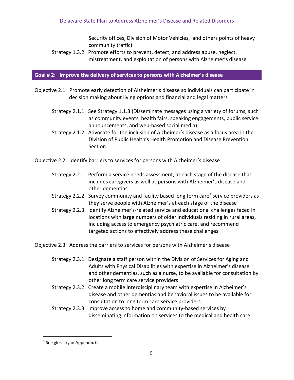Security offices, Division of Motor Vehicles, and others points of heavy community traffic)

Strategy 1.3.2 Promote efforts to prevent, detect, and address abuse, neglect, mistreatment, and exploitation of persons with Alzheimer's disease

### **Goal # 2: Improve the delivery of services to persons with Alzheimer's disease**

- Objective 2.1 Promote early detection of Alzheimer's disease so individuals can participate in decision making about living options and financial and legal matters
	- Strategy 2.1.1 See Strategy 1.1.3 (Disseminate messages using a variety of forums, such as community events, health fairs, speaking engagements, public service announcements, and web-based social media)
	- Strategy 2.1.2 Advocate for the inclusion of Alzheimer's disease as a focus area in the Division of Public Health's Health Promotion and Disease Prevention Section
- Objective 2.2 Identify barriers to services for persons with Alzheimer's disease
	- Strategy 2.2.1 Perform a service needs assessment, at each stage of the disease that includes caregivers as well as persons with Alzheimer's disease and other dementias
	- Strategy 2.2.2 Survey community and facility based long term care<sup>\*</sup> service providers as they serve people with Alzheimer's at each stage of the disease
	- Strategy 2.2.3 Identify Alzheimer's-related service and educational challenges faced in locations with large numbers of older individuals residing in rural areas, including access to emergency psychiatric care, and recommend targeted actions to effectively address these challenges

Objective 2.3 Address the barriers to services for persons with Alzheimer's disease

- Strategy 2.3.1 Designate a staff person within the Division of Services for Aging and Adults with Physical Disabilities with expertise in Alzheimer's disease and other dementias, such as a nurse, to be available for consultation by other long term care service providers
- Strategy 2.3.2 Create a mobile interdisciplinary team with expertise in Alzheimer's disease and other dementias and behavioral issues to be available for consultation to long term care service providers
- Strategy 2.3.3 Improve access to home and community-based services by disseminating information on services to the medical and health care

 $\overline{\phantom{0}}$ 

<span id="page-9-0"></span><sup>∗</sup> See glossary in Appendix C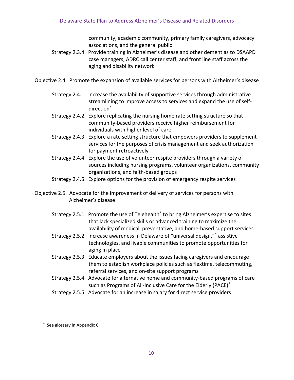community, academic community, primary family caregivers, advocacy associations, and the general public

- Strategy 2.3.4 Provide training in Alzheimer's disease and other dementias to DSAAPD case managers, ADRC call center staff, and front line staff across the aging and disability network
- Objective 2.4 Promote the expansion of available services for persons with Alzheimer's disease
	- Strategy 2.4.1 Increase the availability of supportive services through administrative streamlining to improve access to services and expand the use of selfdirection<sup>\*</sup>
	- Strategy 2.4.2 Explore replicating the nursing home rate setting structure so that community-based providers receive higher reimbursement for individuals with higher level of care
	- Strategy 2.4.3 Explore a rate setting structure that empowers providers to supplement services for the purposes of crisis management and seek authorization for payment retroactively
	- Strategy 2.4.4 Explore the use of volunteer respite providers through a variety of sources including nursing programs, volunteer organizations, community organizations, and faith-based groups
	- Strategy 2.4.5 Explore options for the provision of emergency respite services
- Objective 2.5 Advocate for the improvement of delivery of services for persons with Alzheimer's disease
	- Strategy 2.5.1 Promote the use of Telehealth<sup>\*</sup> to bring Alzheimer's expertise to sites that lack specialized skills or advanced training to maximize the availability of medical, preventative, and home-based support services
	- Strategy 2.5.2 Increase awareness in Delaware of "universal design,"<sup>\*</sup> assistive technologies, and livable communities to promote opportunities for aging in place
	- Strategy 2.5.3 Educate employers about the issues facing caregivers and encourage them to establish workplace policies such as flextime, telecommuting, referral services, and on-site support programs
	- Strategy 2.5.4 Advocate for alternative home and community-based programs of care such as Programs of All-Inclusive Care for the Elderly (PACE)<sup>\*</sup>
	- Strategy 2.5.5 Advocate for an increase in salary for direct service providers

ı

<span id="page-10-3"></span><span id="page-10-2"></span><span id="page-10-1"></span><span id="page-10-0"></span><sup>∗</sup> See glossary in Appendix C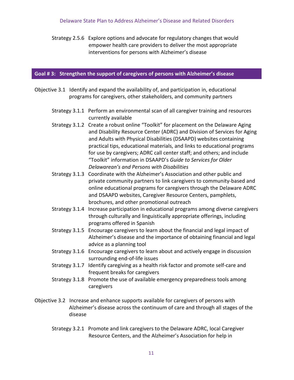Strategy 2.5.6 Explore options and advocate for regulatory changes that would empower health care providers to deliver the most appropriate interventions for persons with Alzheimer's disease

#### **Goal # 3: Strengthen the support of caregivers of persons with Alzheimer's disease**

- Objective 3.1 Identify and expand the availability of, and participation in, educational programs for caregivers, other stakeholders, and community partners
	- Strategy 3.1.1 Perform an environmental scan of all caregiver training and resources currently available
	- Strategy 3.1.2 Create a robust online "Toolkit" for placement on the Delaware Aging and Disability Resource Center (ADRC) and Division of Services for Aging and Adults with Physical Disabilities (DSAAPD) websites containing practical tips, educational materials, and links to educational programs for use by caregivers; ADRC call center staff; and others; and include "Toolkit" information in DSAAPD's *Guide to Services for Older Delawarean's and Persons with Disabilities*
	- Strategy 3.1.3 Coordinate with the Alzheimer's Association and other public and private community partners to link caregivers to community-based and online educational programs for caregivers through the Delaware ADRC and DSAAPD websites, Caregiver Resource Centers, pamphlets, brochures, and other promotional outreach
	- Strategy 3.1.4 Increase participation in educational programs among diverse caregivers through culturally and linguistically appropriate offerings, including programs offered in Spanish
	- Strategy 3.1.5 Encourage caregivers to learn about the financial and legal impact of Alzheimer's disease and the importance of obtaining financial and legal advice as a planning tool
	- Strategy 3.1.6 Encourage caregivers to learn about and actively engage in discussion surrounding end-of-life issues
	- Strategy 3.1.7 Identify caregiving as a health risk factor and promote self-care and frequent breaks for caregivers
	- Strategy 3.1.8 Promote the use of available emergency preparedness tools among caregivers
- Objective 3.2 Increase and enhance supports available for caregivers of persons with Alzheimer's disease across the continuum of care and through all stages of the disease
	- Strategy 3.2.1 Promote and link caregivers to the Delaware ADRC, local Caregiver Resource Centers, and the Alzheimer's Association for help in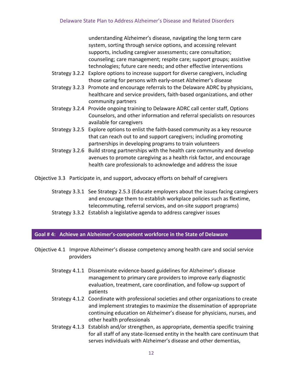understanding Alzheimer's disease, navigating the long term care system, sorting through service options, and accessing relevant supports, including caregiver assessments; care consultation; counseling; care management; respite care; support groups; assistive technologies; future care needs; and other effective interventions

- Strategy 3.2.2 Explore options to increase support for diverse caregivers, including those caring for persons with early-onset Alzheimer's disease
- Strategy 3.2.3 Promote and encourage referrals to the Delaware ADRC by physicians, healthcare and service providers, faith-based organizations, and other community partners
- Strategy 3.2.4 Provide ongoing training to Delaware ADRC call center staff, Options Counselors, and other information and referral specialists on resources available for caregivers
- Strategy 3.2.5 Explore options to enlist the faith-based community as a key resource that can reach out to and support caregivers; including promoting partnerships in developing programs to train volunteers
- Strategy 3.2.6 Build strong partnerships with the health care community and develop avenues to promote caregiving as a health risk factor, and encourage health care professionals to acknowledge and address the issue

Objective 3.3 Participate in, and support, advocacy efforts on behalf of caregivers

- Strategy 3.3.1 See Strategy 2.5.3 (Educate employers about the issues facing caregivers and encourage them to establish workplace policies such as flextime, telecommuting, referral services, and on-site support programs)
- Strategy 3.3.2 Establish a legislative agenda to address caregiver issues

# **Goal # 4: Achieve an Alzheimer's-competent workforce in the State of Delaware**

Objective 4.1 Improve Alzheimer's disease competency among health care and social service providers

- Strategy 4.1.1 Disseminate evidence-based guidelines for Alzheimer's disease management to primary care providers to improve early diagnostic evaluation, treatment, care coordination, and follow-up support of patients
- Strategy 4.1.2 Coordinate with professional societies and other organizations to create and implement strategies to maximize the dissemination of appropriate continuing education on Alzheimer's disease for physicians, nurses, and other health professionals
- Strategy 4.1.3 Establish and/or strengthen, as appropriate, dementia specific training for all staff of any state-licensed entity in the health care continuum that serves individuals with Alzheimer's disease and other dementias,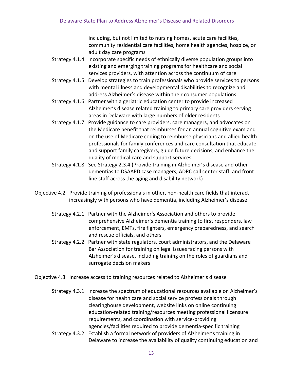including, but not limited to nursing homes, acute care facilities, community residential care facilities, home health agencies, hospice, or adult day care programs

- Strategy 4.1.4 Incorporate specific needs of ethnically diverse population groups into existing and emerging training programs for healthcare and social services providers, with attention across the continuum of care
- Strategy 4.1.5 Develop strategies to train professionals who provide services to persons with mental illness and developmental disabilities to recognize and address Alzheimer's disease within their consumer populations
- Strategy 4.1.6 Partner with a geriatric education center to provide increased Alzheimer's disease related training to primary care providers serving areas in Delaware with large numbers of older residents
- Strategy 4.1.7 Provide guidance to care providers, care managers, and advocates on the Medicare benefit that reimburses for an annual cognitive exam and on the use of Medicare coding to reimburse physicians and allied health professionals for family conferences and care consultation that educate and support family caregivers, guide future decisions, and enhance the quality of medical care and support services
- Strategy 4.1.8 See Strategy 2.3.4 (Provide training in Alzheimer's disease and other dementias to DSAAPD case managers, ADRC call center staff, and front line staff across the aging and disability network)
- Objective 4.2 Provide training of professionals in other, non-health care fields that interact increasingly with persons who have dementia, including Alzheimer's disease
	- Strategy 4.2.1 Partner with the Alzheimer's Association and others to provide comprehensive Alzheimer's dementia training to first responders, law enforcement, EMTs, fire fighters, emergency preparedness, and search and rescue officials, and others
	- Strategy 4.2.2 Partner with state regulators, court administrators, and the Delaware Bar Association for training on legal issues facing persons with Alzheimer's disease, including training on the roles of guardians and surrogate decision makers
- Objective 4.3 Increase access to training resources related to Alzheimer's disease
	- Strategy 4.3.1 Increase the spectrum of educational resources available on Alzheimer's disease for health care and social service professionals through clearinghouse development, website links on online continuing education-related training/resources meeting professional licensure requirements, and coordination with service-providing agencies/facilities required to provide dementia-specific training
	- Strategy 4.3.2 Establish a formal network of providers of Alzheimer's training in Delaware to increase the availability of quality continuing education and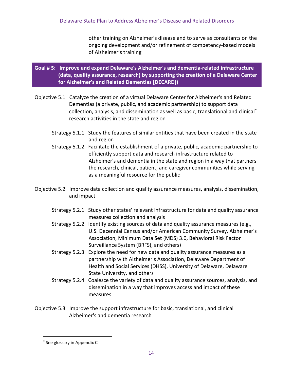other training on Alzheimer's disease and to serve as consultants on the ongoing development and/or refinement of competency-based models of Alzheimer's training

# **Goal # 5: Improve and expand Delaware's Alzheimer's and dementia-related infrastructure (data, quality assurance, research) by supporting the creation of a Delaware Center for Alzheimer's and Related Dementias [DECARD])**

- Objective 5.1 Catalyze the creation of a virtual Delaware Center for Alzheimer's and Related Dementias (a private, public, and academic partnership) to support data collection, analysis, and dissemination as well as basic, translational and clinical[∗](#page-14-0) research activities in the state and region
	- Strategy 5.1.1 Study the features of similar entities that have been created in the state and region
	- Strategy 5.1.2 Facilitate the establishment of a private, public, academic partnership to efficiently support data and research infrastructure related to Alzheimer's and dementia in the state and region in a way that partners the research, clinical, patient, and caregiver communities while serving as a meaningful resource for the public
- Objective 5.2 Improve data collection and quality assurance measures, analysis, dissemination, and impact
	- Strategy 5.2.1 Study other states' relevant infrastructure for data and quality assurance measures collection and analysis
	- Strategy 5.2.2 Identify existing sources of data and quality assurance measures (e.g., U.S. Decennial Census and/or American Community Survey, Alzheimer's Association, Minimum Data Set (MDS) 3.0, Behavioral Risk Factor Surveillance System (BRFS), and others)
	- Strategy 5.2.3 Explore the need for new data and quality assurance measures as a partnership with Alzheimer's Association, Delaware Department of Health and Social Services (DHSS), University of Delaware, Delaware State University, and others
	- Strategy 5.2.4 Coalesce the variety of data and quality assurance sources, analysis, and dissemination in a way that improves access and impact of these measures
- Objective 5.3 Improve the support infrastructure for basic, translational, and clinical Alzheimer's and dementia research

 $\overline{\phantom{0}}$ 

<span id="page-14-0"></span><sup>∗</sup> See glossary in Appendix C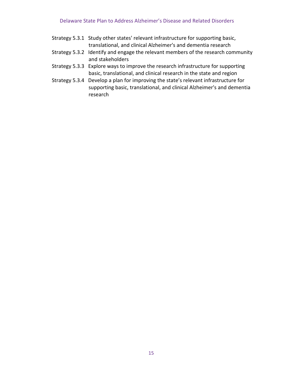| Strategy 5.3.1 Study other states' relevant infrastructure for supporting basic, |
|----------------------------------------------------------------------------------|
| translational, and clinical Alzheimer's and dementia research                    |
|                                                                                  |

- Strategy 5.3.2 Identify and engage the relevant members of the research community and stakeholders
- Strategy 5.3.3 Explore ways to improve the research infrastructure for supporting basic, translational, and clinical research in the state and region
- Strategy 5.3.4 Develop a plan for improving the state's relevant infrastructure for supporting basic, translational, and clinical Alzheimer's and dementia research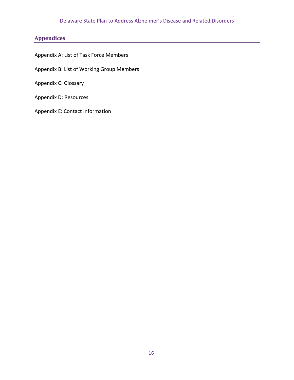# Delaware State Plan to Address Alzheimer's Disease and Related Disorders

# **Appendices**

<span id="page-16-0"></span>Appendix A: List of Task Force Members

Appendix B: List of Working Group Members

Appendix C: Glossary

Appendix D: Resources

Appendix E: Contact Information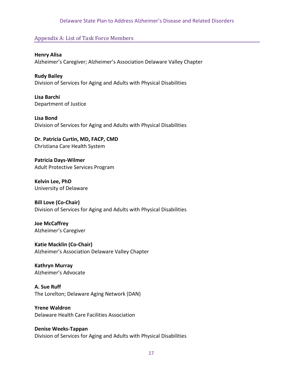#### Delaware State Plan to Address Alzheimer's Disease and Related Disorders

# <span id="page-17-0"></span>Appendix A: List of Task Force Members

**Henry Alisa** Alzheimer's Caregiver; Alzheimer's Association Delaware Valley Chapter

**Rudy Bailey** Division of Services for Aging and Adults with Physical Disabilities

**Lisa Barchi**  Department of Justice

**Lisa Bond**  Division of Services for Aging and Adults with Physical Disabilities

**Dr. Patricia Curtin, MD, FACP, CMD**  Christiana Care Health System

**Patricia Days-Wilmer**  Adult Protective Services Program

**Kelvin Lee, PhD**  University of Delaware

**Bill Love (Co-Chair)**  Division of Services for Aging and Adults with Physical Disabilities

**Joe McCaffrey**  Alzheimer's Caregiver

**Katie Macklin (Co-Chair)** Alzheimer's Association Delaware Valley Chapter

#### **Kathryn Murray**  Alzheimer's Advocate

**A. Sue Ruff** The Lorelton; Delaware Aging Network (DAN)

**Yrene Waldron** Delaware Health Care Facilities Association

**Denise Weeks-Tappan**  Division of Services for Aging and Adults with Physical Disabilities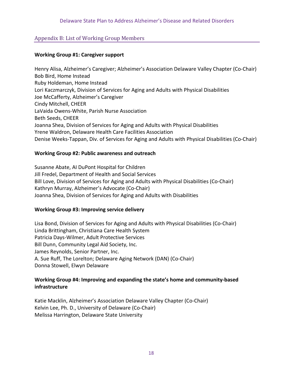# <span id="page-18-0"></span>Appendix B: List of Working Group Members

## **Working Group #1: Caregiver support**

Henry Alisa, Alzheimer's Caregiver; Alzheimer's Association Delaware Valley Chapter (Co-Chair) Bob Bird, Home Instead Ruby Holdeman, Home Instead Lori Kaczmarczyk, Division of Services for Aging and Adults with Physical Disabilities Joe McCafferty, Alzheimer's Caregiver Cindy Mitchell, CHEER LaVaida Owens-White, Parish Nurse Association Beth Seeds, CHEER Joanna Shea, Division of Services for Aging and Adults with Physical Disabilities Yrene Waldron, Delaware Health Care Facilities Association Denise Weeks-Tappan, Div. of Services for Aging and Adults with Physical Disabilities (Co-Chair)

## **Working Group #2: Public awareness and outreach**

Susanne Abate, AI DuPont Hospital for Children Jill Fredel, Department of Health and Social Services Bill Love, Division of Services for Aging and Adults with Physical Disabilities (Co-Chair) Kathryn Murray, Alzheimer's Advocate (Co-Chair) Joanna Shea, Division of Services for Aging and Adults with Disabilities

# **Working Group #3: Improving service delivery**

Lisa Bond, Division of Services for Aging and Adults with Physical Disabilities (Co-Chair) Linda Brittingham, Christiana Care Health System Patricia Days-Wilmer, Adult Protective Services Bill Dunn, Community Legal Aid Society, Inc. James Reynolds, Senior Partner, Inc. A. Sue Ruff, The Lorelton; Delaware Aging Network (DAN) (Co-Chair) Donna Stowell, Elwyn Delaware

# **Working Group #4: Improving and expanding the state's home and community-based infrastructure**

Katie Macklin, Alzheimer's Association Delaware Valley Chapter (Co-Chair) Kelvin Lee, Ph. D., University of Delaware (Co-Chair) Melissa Harrington, Delaware State University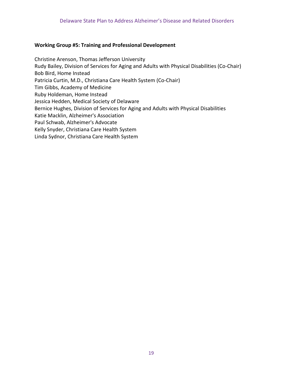#### **Working Group #5: Training and Professional Development**

Christine Arenson, Thomas Jefferson University Rudy Bailey, Division of Services for Aging and Adults with Physical Disabilities (Co-Chair) Bob Bird, Home Instead Patricia Curtin, M.D., Christiana Care Health System (Co-Chair) Tim Gibbs, Academy of Medicine Ruby Holdeman, Home Instead Jessica Hedden, Medical Society of Delaware Bernice Hughes, Division of Services for Aging and Adults with Physical Disabilities Katie Macklin, Alzheimer's Association Paul Schwab, Alzheimer's Advocate Kelly Snyder, Christiana Care Health System Linda Sydnor, Christiana Care Health System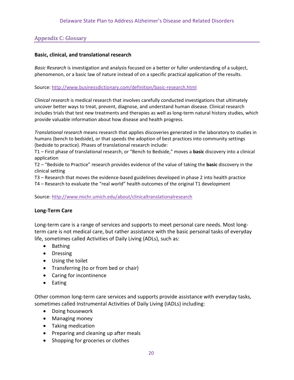# <span id="page-20-0"></span>Appendix C: Glossary

### **Basic, clinical, and translational research**

*Basic Research* is investigation and analysis focused on a better or fuller understanding of a subject, phenomenon, or a basic law of nature instead of on a specific practical application of the results.

Source:<http://www.businessdictionary.com/definition/basic-research.html>

*Clinical research* is medical research that involves carefully conducted investigations that ultimately uncover better ways to treat, prevent, diagnose, and understand human disease. Clinical research includes trials that test new treatments and therapies as well as long-term natural history studies, which provide valuable information about how disease and health progress.

*Translational research* means research that applies discoveries generated in the laboratory to studies in humans (bench to bedside), or that speeds the adoption of best practices into community settings (bedside to practice). Phases of translational research include:

T1 – First phase of translational research, or "Bench to Bedside," moves a **basic** discovery into a clinical application

T2 – "Bedside to Practice" research provides evidence of the value of taking the **basic** discovery in the clinical setting

T3 – Research that moves the evidence-based guidelines developed in phase 2 into health practice

T4 – Research to evaluate the "real world" health outcomes of the original T1 development

Source:<http://www.michr.umich.edu/about/clinicaltranslationalresearch>

#### **Long-Term Care**

Long-term care is a range of services and supports to meet personal care needs. Most longterm care is not medical care, but rather assistance with the basic personal tasks of everyday life, sometimes called Activities of Daily Living (ADLs), such as:

- Bathing
- Dressing
- Using the toilet
- Transferring (to or from bed or chair)
- Caring for incontinence
- Eating

Other common long-term care services and supports provide assistance with everyday tasks, sometimes called Instrumental Activities of Daily Living (IADLs) including:

- Doing housework
- Managing money
- Taking medication
- Preparing and cleaning up after meals
- Shopping for groceries or clothes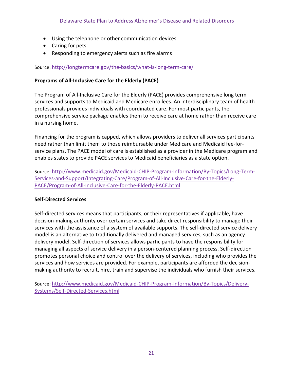- Using the telephone or other communication devices
- Caring for pets
- Responding to emergency alerts such as fire alarms

# Source:<http://longtermcare.gov/the-basics/what-is-long-term-care/>

# **Programs of All-Inclusive Care for the Elderly (PACE)**

The Program of All-Inclusive Care for the Elderly (PACE) provides comprehensive long term services and supports to Medicaid and Medicare enrollees. An interdisciplinary team of health professionals provides individuals with coordinated care. For most participants, the comprehensive service package enables them to receive care at home rather than receive care in a nursing home.

Financing for the program is capped, which allows providers to deliver all services participants need rather than limit them to those reimbursable under Medicare and Medicaid fee-forservice plans. The PACE model of care is established as a provider in the Medicare program and enables states to provide PACE services to Medicaid beneficiaries as a state option.

Source: [http://www.medicaid.gov/Medicaid-CHIP-Program-Information/By-Topics/Long-Term-](http://www.medicaid.gov/Medicaid-CHIP-Program-Information/By-Topics/Long-Term-Services-and-Support/Integrating-Care/Program-of-All-Inclusive-Care-for-the-Elderly-PACE/Program-of-All-Inclusive-Care-for-the-Elderly-PACE.html)[Services-and-Support/Integrating-Care/Program-of-All-Inclusive-Care-for-the-Elderly-](http://www.medicaid.gov/Medicaid-CHIP-Program-Information/By-Topics/Long-Term-Services-and-Support/Integrating-Care/Program-of-All-Inclusive-Care-for-the-Elderly-PACE/Program-of-All-Inclusive-Care-for-the-Elderly-PACE.html)[PACE/Program-of-All-Inclusive-Care-for-the-Elderly-PACE.html](http://www.medicaid.gov/Medicaid-CHIP-Program-Information/By-Topics/Long-Term-Services-and-Support/Integrating-Care/Program-of-All-Inclusive-Care-for-the-Elderly-PACE/Program-of-All-Inclusive-Care-for-the-Elderly-PACE.html)

# **Self-Directed Services**

Self-directed services means that participants, or their representatives if applicable, have decision-making authority over certain services and take direct responsibility to manage their services with the assistance of a system of available supports. The self-directed service delivery model is an alternative to traditionally delivered and managed services, such as an agency delivery model. Self-direction of services allows participants to have the responsibility for managing all aspects of service delivery in a person-centered planning process. Self-direction promotes personal choice and control over the delivery of services, including who provides the services and how services are provided. For example, participants are afforded the decisionmaking authority to recruit, hire, train and supervise the individuals who furnish their services.

Source: [http://www.medicaid.gov/Medicaid-CHIP-Program-Information/By-Topics/Delivery-](http://www.medicaid.gov/Medicaid-CHIP-Program-Information/By-Topics/Delivery-Systems/Self-Directed-Services.html)[Systems/Self-Directed-Services.html](http://www.medicaid.gov/Medicaid-CHIP-Program-Information/By-Topics/Delivery-Systems/Self-Directed-Services.html)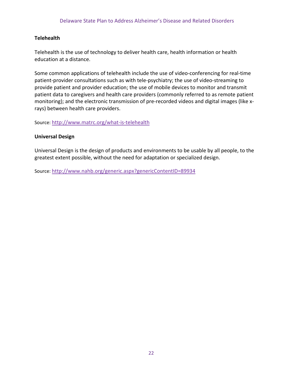# **Telehealth**

Telehealth is the use of technology to deliver health care, health information or health education at a distance.

Some common applications of telehealth include the use of video-conferencing for real-time patient-provider consultations such as with tele-psychiatry; the use of video-streaming to provide patient and provider education; the use of mobile devices to monitor and transmit patient data to caregivers and health care providers (commonly referred to as remote patient monitoring); and the electronic transmission of pre-recorded videos and digital images (like xrays) between health care providers.

Source:<http://www.matrc.org/what-is-telehealth>

## **Universal Design**

Universal Design is the design of products and environments to be usable by all people, to the greatest extent possible, without the need for adaptation or specialized design.

Source:<http://www.nahb.org/generic.aspx?genericContentID=89934>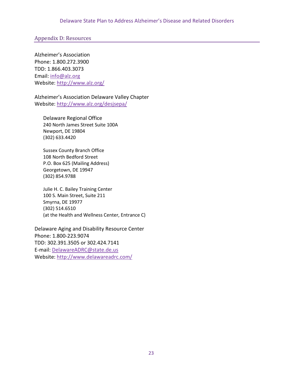<span id="page-23-0"></span>Appendix D: Resources

Alzheimer's Association Phone: 1.800.272.3900 TDD: 1.866.403.3073 Email: [info@alz.org](mailto:info@alz.org) Website:<http://www.alz.org/>

Alzheimer's Association Delaware Valley Chapter Website:<http://www.alz.org/desjsepa/>

Delaware Regional Office 240 North James Street Suite 100A Newport, DE 19804 (302) 633.4420

Sussex County Branch Office 108 North Bedford Street P.O. Box 625 (Mailing Address) Georgetown, DE 19947 (302) 854.9788

Julie H. C. Bailey Training Center 100 S. Main Street, Suite 211 Smyrna, DE 19977 (302) 514.6510 (at the Health and Wellness Center, Entrance C)

Delaware Aging and Disability Resource Center Phone: 1.800-223.9074 TDD: 302.391.3505 or 302.424.7141 E-mail: [DelawareADRC@state.de.us](mailto:DelawareADRC@state.de.us) Website:<http://www.delawareadrc.com/>